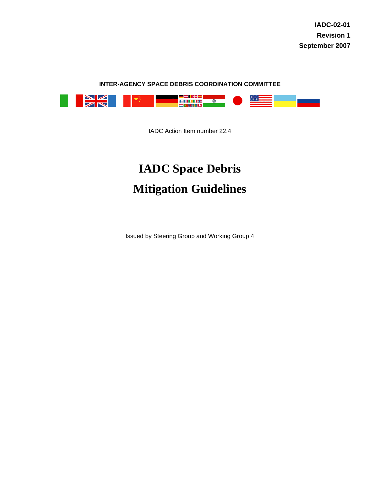## **INTER-AGENCY SPACE DEBRIS COORDINATION COMMITTEE**



IADC Action Item number 22.4

# **IADC Space Debris Mitigation Guidelines**

Issued by Steering Group and Working Group 4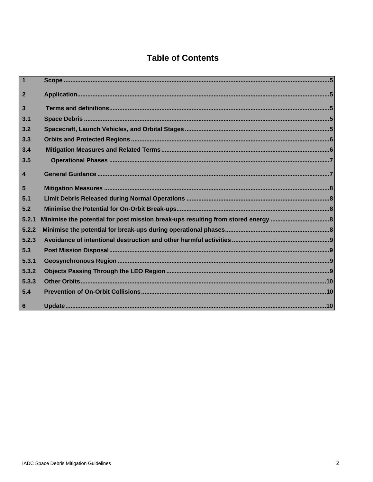# **Table of Contents**

| $\overline{2}$          |  |
|-------------------------|--|
| $\overline{3}$          |  |
| 3.1                     |  |
| 3.2                     |  |
| 3.3                     |  |
| 3.4                     |  |
| 3.5                     |  |
| $\overline{\mathbf{4}}$ |  |
| $5\overline{5}$         |  |
| 5.1                     |  |
| 5.2                     |  |
| 5.2.1                   |  |
| 5.2.2                   |  |
| 5.2.3                   |  |
| 5.3                     |  |
| 5.3.1                   |  |
| 5.3.2                   |  |
| 5.3.3                   |  |
| 5.4                     |  |
| $6\phantom{1}6$         |  |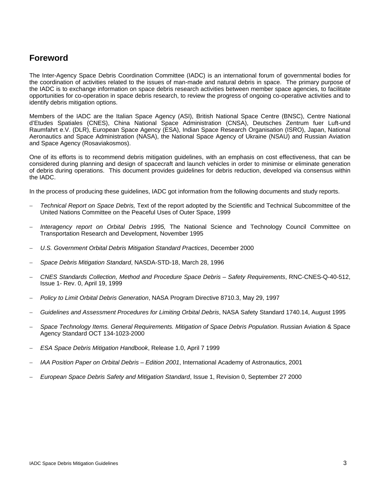# **Foreword**

The Inter-Agency Space Debris Coordination Committee (IADC) is an international forum of governmental bodies for the coordination of activities related to the issues of man-made and natural debris in space. The primary purpose of the IADC is to exchange information on space debris research activities between member space agencies, to facilitate opportunities for co-operation in space debris research, to review the progress of ongoing co-operative activities and to identify debris mitigation options.

Members of the IADC are the Italian Space Agency (ASI), British National Space Centre (BNSC), Centre National d'Etudes Spatiales (CNES), China National Space Administration (CNSA), Deutsches Zentrum fuer Luft-und Raumfahrt e.V. (DLR), European Space Agency (ESA), Indian Space Research Organisation (ISRO), Japan, National Aeronautics and Space Administration (NASA), the National Space Agency of Ukraine (NSAU) and Russian Aviation and Space Agency (Rosaviakosmos).

One of its efforts is to recommend debris mitigation guidelines, with an emphasis on cost effectiveness, that can be considered during planning and design of spacecraft and launch vehicles in order to minimise or eliminate generation of debris during operations. This document provides guidelines for debris reduction, developed via consensus within the IADC.

In the process of producing these guidelines, IADC got information from the following documents and study reports.

- − *Technical Report on Space Debris,* Text of the report adopted by the Scientific and Technical Subcommittee of the United Nations Committee on the Peaceful Uses of Outer Space, 1999
- − *Interagency report on Orbital Debris 1995,* The National Science and Technology Council Committee on Transportation Research and Development, November 1995
- − *U.S. Government Orbital Debris Mitigation Standard Practices*, December 2000
- − *Space Debris Mitigation Standard*, NASDA-STD-18, March 28, 1996
- − *CNES Standards Collection, Method and Procedure Space Debris Safety Requirements*, RNC-CNES-Q-40-512, Issue 1- Rev. 0, April 19, 1999
- − *Policy to Limit Orbital Debris Generation*, NASA Program Directive 8710.3, May 29, 1997
- − *Guidelines and Assessment Procedures for Limiting Orbital Debris*, NASA Safety Standard 1740.14, August 1995
- − *Space Technology Items. General Requirements. Mitigation of Space Debris Population*. Russian Aviation & Space Agency Standard OCT 134-1023-2000
- − *ESA Space Debris Mitigation Handbook*, Release 1.0, April 7 1999
- − *IAA Position Paper on Orbital Debris Edition 2001*, International Academy of Astronautics, 2001
- − *European Space Debris Safety and Mitigation Standard*, Issue 1, Revision 0, September 27 2000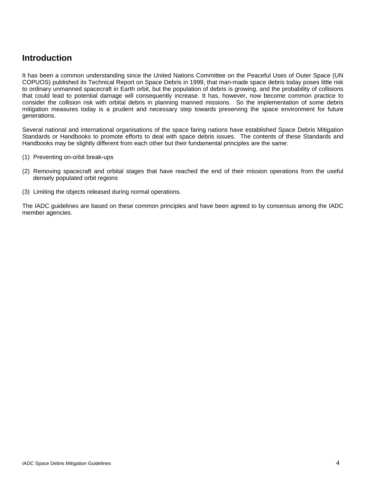# **Introduction**

It has been a common understanding since the United Nations Committee on the Peaceful Uses of Outer Space (UN COPUOS) published its Technical Report on Space Debris in 1999, that man-made space debris today poses little risk to ordinary unmanned spacecraft in Earth orbit, but the population of debris is growing, and the probability of collisions that could lead to potential damage will consequently increase. It has, however, now become common practice to consider the collision risk with orbital debris in planning manned missions. So the implementation of some debris mitigation measures today is a prudent and necessary step towards preserving the space environment for future generations.

Several national and international organisations of the space faring nations have established Space Debris Mitigation Standards or Handbooks to promote efforts to deal with space debris issues. The contents of these Standards and Handbooks may be slightly different from each other but their fundamental principles are the same:

- (1) Preventing on-orbit break-ups
- (2) Removing spacecraft and orbital stages that have reached the end of their mission operations from the useful densely populated orbit regions
- (3) Limiting the objects released during normal operations.

The IADC guidelines are based on these common principles and have been agreed to by consensus among the IADC member agencies.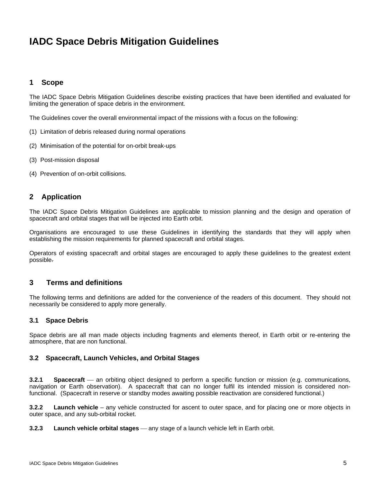# <span id="page-4-0"></span>**IADC Space Debris Mitigation Guidelines**

# **1 Scope**

The IADC Space Debris Mitigation Guidelines describe existing practices that have been identified and evaluated for limiting the generation of space debris in the environment.

The Guidelines cover the overall environmental impact of the missions with a focus on the following:

- (1) Limitation of debris released during normal operations
- (2) Minimisation of the potential for on-orbit break-ups
- (3) Post-mission disposal
- (4) Prevention of on-orbit collisions.

# **2 Application**

The IADC Space Debris Mitigation Guidelines are applicable to mission planning and the design and operation of spacecraft and orbital stages that will be injected into Earth orbit.

Organisations are encouraged to use these Guidelines in identifying the standards that they will apply when establishing the mission requirements for planned spacecraft and orbital stages.

Operators of existing spacecraft and orbital stages are encouraged to apply these guidelines to the greatest extent possible.

# **3 Terms and definitions**

The following terms and definitions are added for the convenience of the readers of this document. They should not necessarily be considered to apply more generally.

#### **3.1 Space Debris**

Space debris are all man made objects including fragments and elements thereof, in Earth orbit or re-entering the atmosphere, that are non functional.

## **3.2 Spacecraft, Launch Vehicles, and Orbital Stages**

**3.2.1** Spacecraft — an orbiting object designed to perform a specific function or mission (e.g. communications, navigation or Earth observation). A spacecraft that can no longer fulfil its intended mission is considered nonfunctional. (Spacecraft in reserve or standby modes awaiting possible reactivation are considered functional.)

**3.2.2 Launch vehicle** – any vehicle constructed for ascent to outer space, and for placing one or more objects in outer space, and any sub-orbital rocket.

**3.2.3** Launch vehicle orbital stages — any stage of a launch vehicle left in Earth orbit.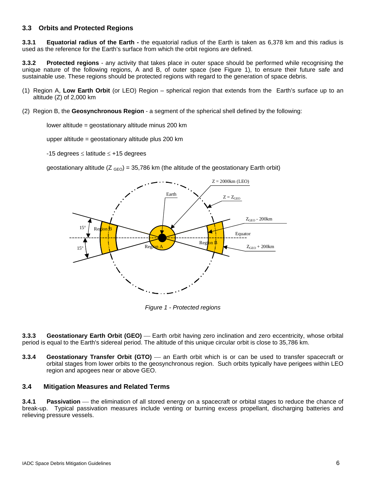# <span id="page-5-0"></span>**3.3 Orbits and Protected Regions**

**3.3.1 Equatorial radius of the Earth -** the equatorial radius of the Earth is taken as 6,378 km and this radius is used as the reference for the Earth's surface from which the orbit regions are defined.

**3.3.2 Protected regions** - any activity that takes place in outer space should be performed while recognising the unique nature of the following regions, A and B, of outer space (see Figure 1), to ensure their future safe and sustainable use. These regions should be protected regions with regard to the generation of space debris.

- (1) Region A, **Low Earth Orbit** (or LEO) Region spherical region that extends from the Earth's surface up to an altitude (Z) of 2,000 km
- (2) Region B, the **Geosynchronous Region**  a segment of the spherical shell defined by the following:

lower altitude = geostationary altitude minus 200 km

upper altitude = geostationary altitude plus 200 km

-15 degrees ≤ latitude ≤ +15 degrees

geostationary altitude ( $Z_{\text{GEO}}$ ) = 35,786 km (the altitude of the geostationary Earth orbit)



*Figure 1 - Protected regions* 

**3.3.3 Geostationary Earth Orbit (GEO)** — Earth orbit having zero inclination and zero eccentricity, whose orbital period is equal to the Earth's sidereal period. The altitude of this unique circular orbit is close to 35,786 km.

**3.3.4 Geostationary Transfer Orbit (GTO)** — an Earth orbit which is or can be used to transfer spacecraft or orbital stages from lower orbits to the geosynchronous region. Such orbits typically have perigees within LEO region and apogees near or above GEO.

## **3.4 Mitigation Measures and Related Terms**

**3.4.1** Passivation — the elimination of all stored energy on a spacecraft or orbital stages to reduce the chance of break-up. Typical passivation measures include venting or burning excess propellant, discharging batteries and relieving pressure vessels.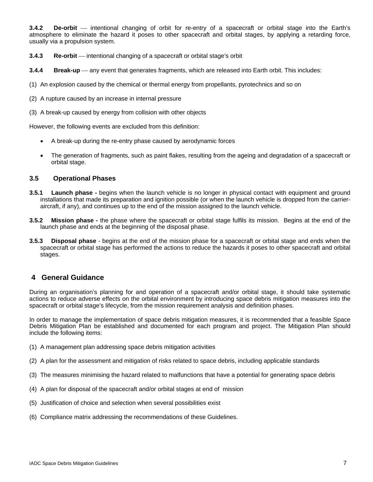<span id="page-6-0"></span>**3.4.2** De-orbit — intentional changing of orbit for re-entry of a spacecraft or orbital stage into the Earth's atmosphere to eliminate the hazard it poses to other spacecraft and orbital stages, by applying a retarding force, usually via a propulsion system.

- **3.4.3** Re-orbit intentional changing of a spacecraft or orbital stage's orbit
- **3.4.4 Break-up** any event that generates fragments, which are released into Earth orbit. This includes:
- (1) An explosion caused by the chemical or thermal energy from propellants, pyrotechnics and so on
- (2) A rupture caused by an increase in internal pressure
- (3) A break-up caused by energy from collision with other objects

However, the following events are excluded from this definition:

- A break-up during the re-entry phase caused by aerodynamic forces
- The generation of fragments, such as paint flakes, resulting from the ageing and degradation of a spacecraft or orbital stage.

#### **3.5 Operational Phases**

- **3.5.1 Launch phase** begins when the launch vehicle is no longer in physical contact with equipment and ground installations that made its preparation and ignition possible (or when the launch vehicle is dropped from the carrieraircraft, if any), and continues up to the end of the mission assigned to the launch vehicle.
- **3.5.2 Mission phase** the phase where the spacecraft or orbital stage fulfils its mission. Begins at the end of the launch phase and ends at the beginning of the disposal phase.
- **3.5.3 Disposal phase** begins at the end of the mission phase for a spacecraft or orbital stage and ends when the spacecraft or orbital stage has performed the actions to reduce the hazards it poses to other spacecraft and orbital stages.

# **4 General Guidance**

During an organisation's planning for and operation of a spacecraft and/or orbital stage, it should take systematic actions to reduce adverse effects on the orbital environment by introducing space debris mitigation measures into the spacecraft or orbital stage's lifecycle, from the mission requirement analysis and definition phases.

In order to manage the implementation of space debris mitigation measures, it is recommended that a feasible Space Debris Mitigation Plan be established and documented for each program and project. The Mitigation Plan should include the following items:

- (1) A management plan addressing space debris mitigation activities
- (2) A plan for the assessment and mitigation of risks related to space debris, including applicable standards
- (3) The measures minimising the hazard related to malfunctions that have a potential for generating space debris
- (4) A plan for disposal of the spacecraft and/or orbital stages at end of mission
- (5) Justification of choice and selection when several possibilities exist
- (6) Compliance matrix addressing the recommendations of these Guidelines.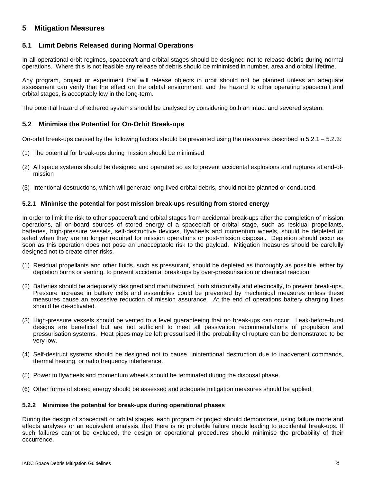# <span id="page-7-0"></span>**5 Mitigation Measures**

# **5.1 Limit Debris Released during Normal Operations**

In all operational orbit regimes, spacecraft and orbital stages should be designed not to release debris during normal operations. Where this is not feasible any release of debris should be minimised in number, area and orbital lifetime.

Any program, project or experiment that will release objects in orbit should not be planned unless an adequate assessment can verify that the effect on the orbital environment, and the hazard to other operating spacecraft and orbital stages, is acceptably low in the long-term.

The potential hazard of tethered systems should be analysed by considering both an intact and severed system.

## **5.2 Minimise the Potential for On-Orbit Break-ups**

On-orbit break-ups caused by the following factors should be prevented using the measures described in 5.2.1 − 5.2.3:

- (1) The potential for break-ups during mission should be minimised
- (2) All space systems should be designed and operated so as to prevent accidental explosions and ruptures at end-ofmission
- (3) Intentional destructions, which will generate long-lived orbital debris, should not be planned or conducted.

#### **5.2.1 Minimise the potential for post mission break-ups resulting from stored energy**

In order to limit the risk to other spacecraft and orbital stages from accidental break-ups after the completion of mission operations, all on-board sources of stored energy of a spacecraft or orbital stage, such as residual propellants, batteries, high-pressure vessels, self-destructive devices, flywheels and momentum wheels, should be depleted or safed when they are no longer required for mission operations or post-mission disposal. Depletion should occur as soon as this operation does not pose an unacceptable risk to the payload. Mitigation measures should be carefully designed not to create other risks.

- (1) Residual propellants and other fluids, such as pressurant, should be depleted as thoroughly as possible, either by depletion burns or venting, to prevent accidental break-ups by over-pressurisation or chemical reaction.
- (2) Batteries should be adequately designed and manufactured, both structurally and electrically, to prevent break-ups. Pressure increase in battery cells and assemblies could be prevented by mechanical measures unless these measures cause an excessive reduction of mission assurance. At the end of operations battery charging lines should be de-activated*.*
- (3) High-pressure vessels should be vented to a level guaranteeing that no break-ups can occur. Leak-before-burst designs are beneficial but are not sufficient to meet all passivation recommendations of propulsion and pressurisation systems. Heat pipes may be left pressurised if the probability of rupture can be demonstrated to be very low.
- (4) Self-destruct systems should be designed not to cause unintentional destruction due to inadvertent commands, thermal heating, or radio frequency interference.
- (5) Power to flywheels and momentum wheels should be terminated during the disposal phase.
- (6) Other forms of stored energy should be assessed and adequate mitigation measures should be applied.

#### **5.2.2 Minimise the potential for break-ups during operational phases**

During the design of spacecraft or orbital stages, each program or project should demonstrate, using failure mode and effects analyses or an equivalent analysis, that there is no probable failure mode leading to accidental break-ups. If such failures cannot be excluded, the design or operational procedures should minimise the probability of their occurrence.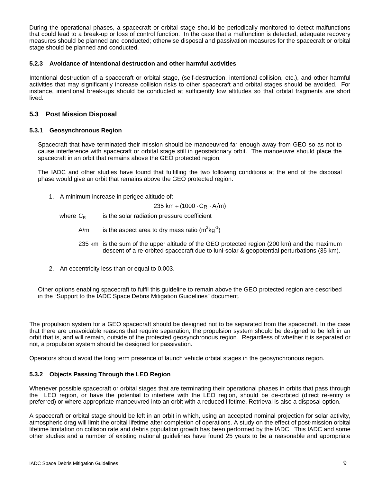<span id="page-8-0"></span>During the operational phases, a spacecraft or orbital stage should be periodically monitored to detect malfunctions that could lead to a break-up or loss of control function. In the case that a malfunction is detected, adequate recovery measures should be planned and conducted; otherwise disposal and passivation measures for the spacecraft or orbital stage should be planned and conducted.

#### **5.2.3 Avoidance of intentional destruction and other harmful activities**

Intentional destruction of a spacecraft or orbital stage, (self-destruction, intentional collision, etc.), and other harmful activities that may significantly increase collision risks to other spacecraft and orbital stages should be avoided. For instance, intentional break-ups should be conducted at sufficiently low altitudes so that orbital fragments are short lived.

# **5.3 Post Mission Disposal**

#### **5.3.1 Geosynchronous Region**

Spacecraft that have terminated their mission should be manoeuvred far enough away from GEO so as not to cause interference with spacecraft or orbital stage still in geostationary orbit. The manoeuvre should place the spacecraft in an orbit that remains above the GEO protected region.

The IADC and other studies have found that fulfilling the two following conditions at the end of the disposal phase would give an orbit that remains above the GEO protected region:

1. A minimum increase in perigee altitude of:

 $235 \text{ km} + (1000 \cdot C_R \cdot A/m)$ 

where  $C_R$  is the solar radiation pressure coefficient

- A/m is the aspect area to dry mass ratio ( $m^2kg^{-1}$ )
	- 235 km is the sum of the upper altitude of the GEO protected region (200 km) and the maximum descent of a re-orbited spacecraft due to luni-solar & geopotential perturbations (35 km).
- 2. An eccentricity less than or equal to 0.003.

Other options enabling spacecraft to fulfil this guideline to remain above the GEO protected region are described in the "Support to the IADC Space Debris Mitigation Guidelines" document.

The propulsion system for a GEO spacecraft should be designed not to be separated from the spacecraft. In the case that there are unavoidable reasons that require separation, the propulsion system should be designed to be left in an orbit that is, and will remain, outside of the protected geosynchronous region. Regardless of whether it is separated or not, a propulsion system should be designed for passivation.

Operators should avoid the long term presence of launch vehicle orbital stages in the geosynchronous region.

## **5.3.2 Objects Passing Through the LEO Region**

Whenever possible spacecraft or orbital stages that are terminating their operational phases in orbits that pass through the LEO region, or have the potential to interfere with the LEO region, should be de-orbited (direct re-entry is preferred) or where appropriate manoeuvred into an orbit with a reduced lifetime. Retrieval is also a disposal option.

A spacecraft or orbital stage should be left in an orbit in which, using an accepted nominal projection for solar activity, atmospheric drag will limit the orbital lifetime after completion of operations. A study on the effect of post-mission orbital lifetime limitation on collision rate and debris population growth has been performed by the IADC. This IADC and some other studies and a number of existing national guidelines have found 25 years to be a reasonable and appropriate